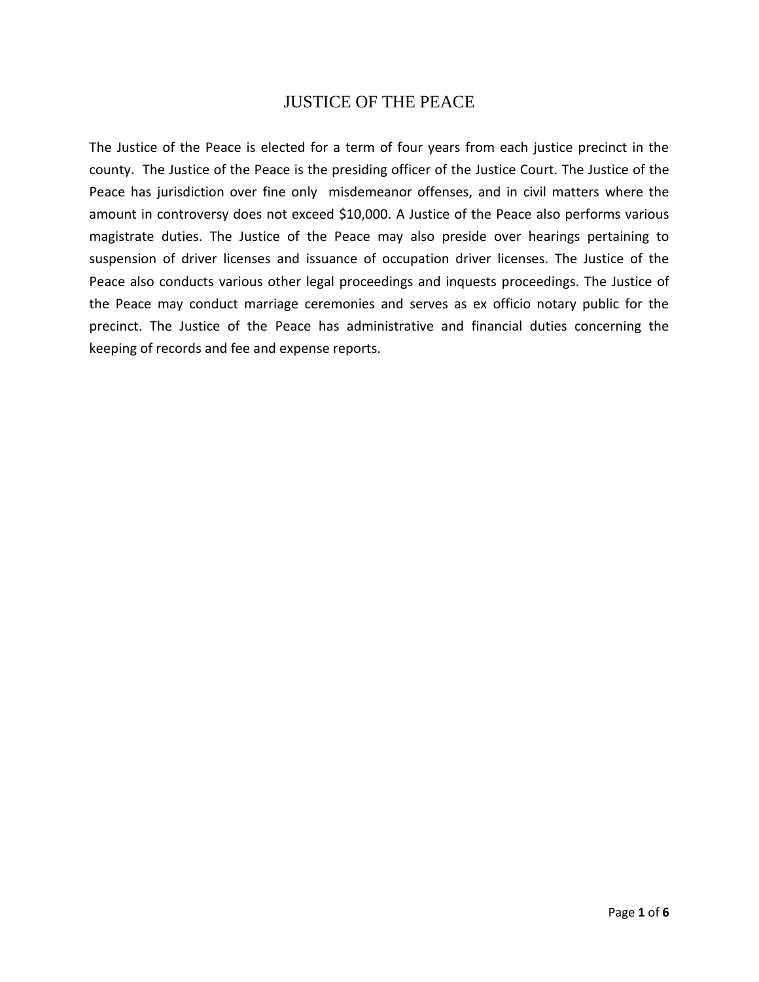## JUSTICE OF THE PEACE

The Justice of the Peace is elected for a term of four years from each justice precinct in the county. The Justice of the Peace is the presiding officer of the Justice Court. The Justice of the Peace has jurisdiction over fine only misdemeanor offenses, and in civil matters where the amount in controversy does not exceed \$10,000. A Justice of the Peace also performs various magistrate duties. The Justice of the Peace may also preside over hearings pertaining to suspension of driver licenses and issuance of occupation driver licenses. The Justice of the Peace also conducts various other legal proceedings and inquests proceedings. The Justice of the Peace may conduct marriage ceremonies and serves as ex officio notary public for the precinct. The Justice of the Peace has administrative and financial duties concerning the keeping of records and fee and expense reports.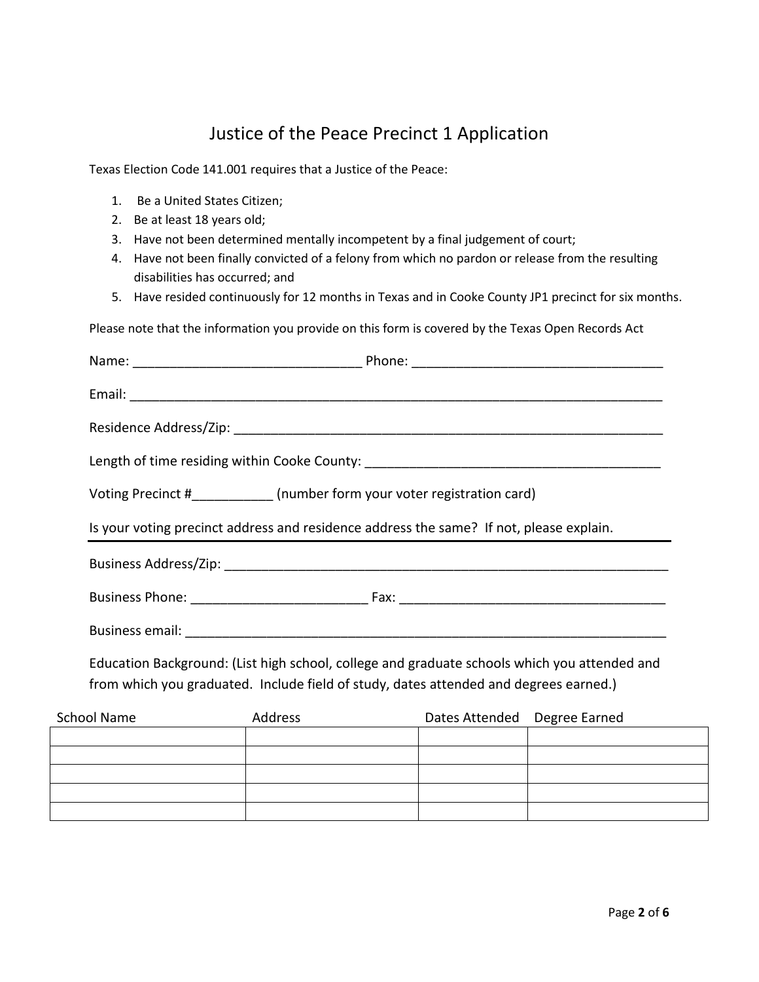## Justice of the Peace Precinct 1 Application

Texas Election Code 141.001 requires that a Justice of the Peace:

- 1. Be a United States Citizen;
- 2. Be at least 18 years old;
- 3. Have not been determined mentally incompetent by a final judgement of court;
- 4. Have not been finally convicted of a felony from which no pardon or release from the resulting disabilities has occurred; and
- 5. Have resided continuously for 12 months in Texas and in Cooke County JP1 precinct for six months.

Please note that the information you provide on this form is covered by the Texas Open Records Act

|                    | Length of time residing within Cooke County: ___________________________________                                                                                                      |                              |  |
|--------------------|---------------------------------------------------------------------------------------------------------------------------------------------------------------------------------------|------------------------------|--|
|                    | Voting Precinct #____________ (number form your voter registration card)                                                                                                              |                              |  |
|                    | Is your voting precinct address and residence address the same? If not, please explain.                                                                                               |                              |  |
|                    |                                                                                                                                                                                       |                              |  |
|                    |                                                                                                                                                                                       |                              |  |
|                    |                                                                                                                                                                                       |                              |  |
|                    | Education Background: (List high school, college and graduate schools which you attended and<br>from which you graduated. Include field of study, dates attended and degrees earned.) |                              |  |
| <b>School Name</b> | Address                                                                                                                                                                               | Dates Attended Degree Earned |  |
|                    |                                                                                                                                                                                       |                              |  |
|                    |                                                                                                                                                                                       |                              |  |
|                    |                                                                                                                                                                                       |                              |  |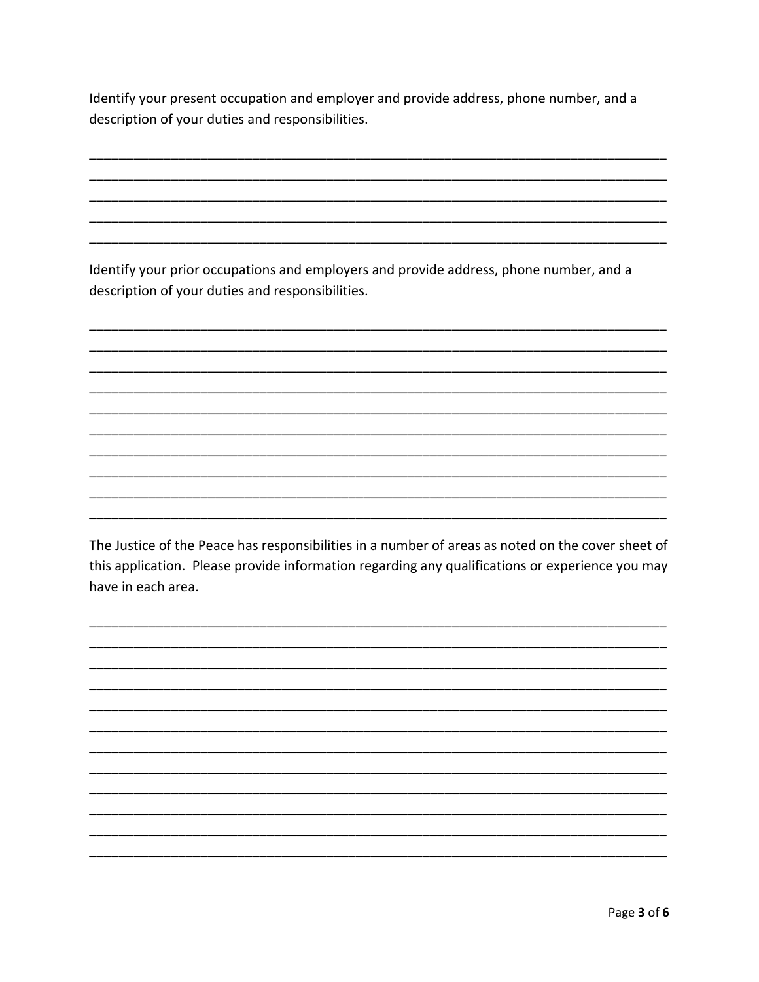Identify your present occupation and employer and provide address, phone number, and a description of your duties and responsibilities.

Identify your prior occupations and employers and provide address, phone number, and a description of your duties and responsibilities.

The Justice of the Peace has responsibilities in a number of areas as noted on the cover sheet of this application. Please provide information regarding any qualifications or experience you may have in each area.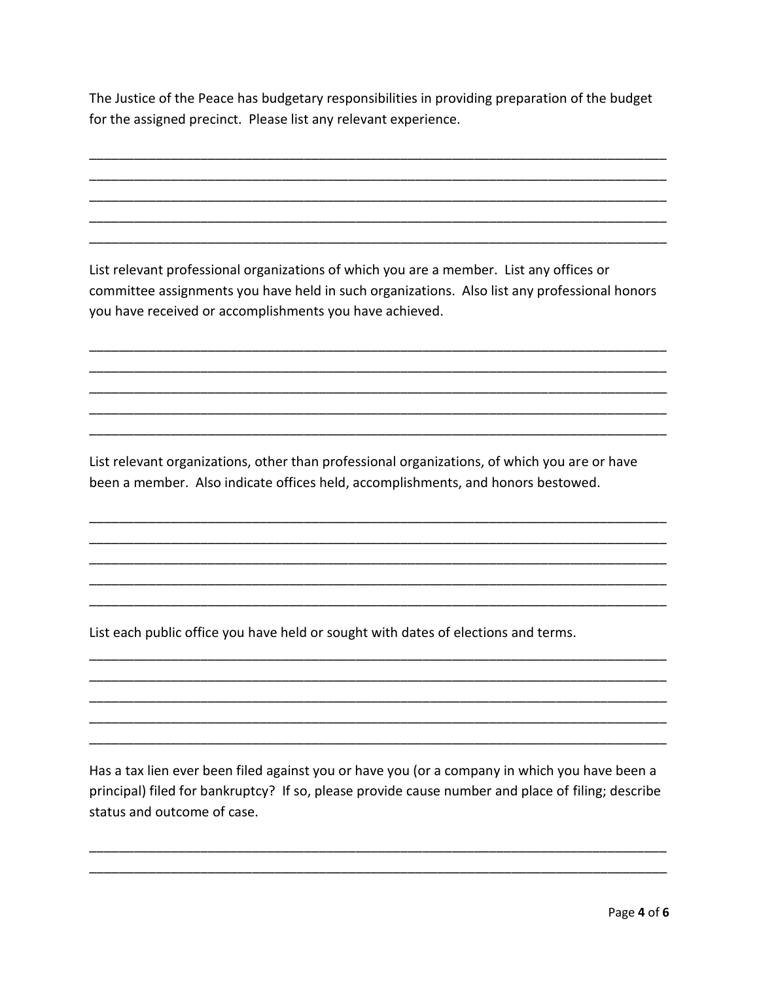The Justice of the Peace has budgetary responsibilities in providing preparation of the budget for the assigned precinct. Please list any relevant experience.

List relevant professional organizations of which you are a member. List any offices or committee assignments you have held in such organizations. Also list any professional honors you have received or accomplishments you have achieved.

List relevant organizations, other than professional organizations, of which you are or have been a member. Also indicate offices held, accomplishments, and honors bestowed.

List each public office you have held or sought with dates of elections and terms.

Has a tax lien ever been filed against you or have you (or a company in which you have been a principal) filed for bankruptcy? If so, please provide cause number and place of filing; describe status and outcome of case.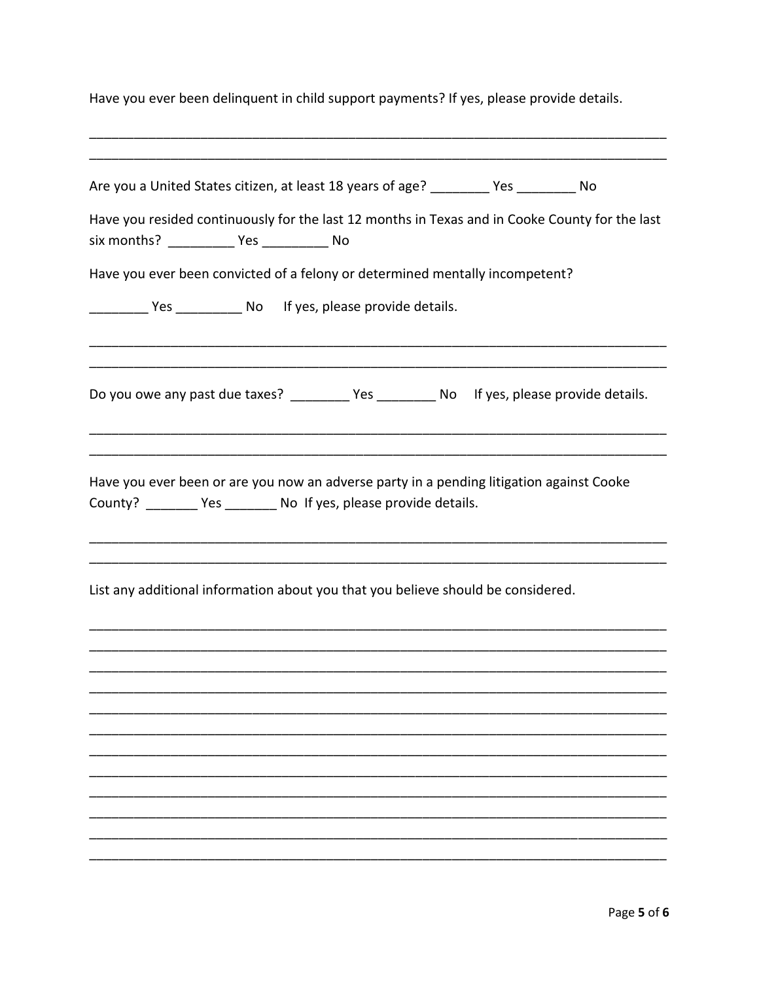Have you ever been delinquent in child support payments? If yes, please provide details.

| Are you a United States citizen, at least 18 years of age? ________ Yes ________ No                                                                           |  |
|---------------------------------------------------------------------------------------------------------------------------------------------------------------|--|
| Have you resided continuously for the last 12 months in Texas and in Cooke County for the last                                                                |  |
|                                                                                                                                                               |  |
| Have you ever been convicted of a felony or determined mentally incompetent?                                                                                  |  |
| Yes _________ No If yes, please provide details.                                                                                                              |  |
|                                                                                                                                                               |  |
| Do you owe any past due taxes? __________ Yes _________ No If yes, please provide details.                                                                    |  |
|                                                                                                                                                               |  |
| Have you ever been or are you now an adverse party in a pending litigation against Cooke<br>County? _________ Yes ________ No If yes, please provide details. |  |
|                                                                                                                                                               |  |
| List any additional information about you that you believe should be considered.                                                                              |  |
|                                                                                                                                                               |  |
|                                                                                                                                                               |  |
|                                                                                                                                                               |  |
|                                                                                                                                                               |  |
|                                                                                                                                                               |  |
|                                                                                                                                                               |  |
|                                                                                                                                                               |  |
|                                                                                                                                                               |  |
|                                                                                                                                                               |  |
|                                                                                                                                                               |  |